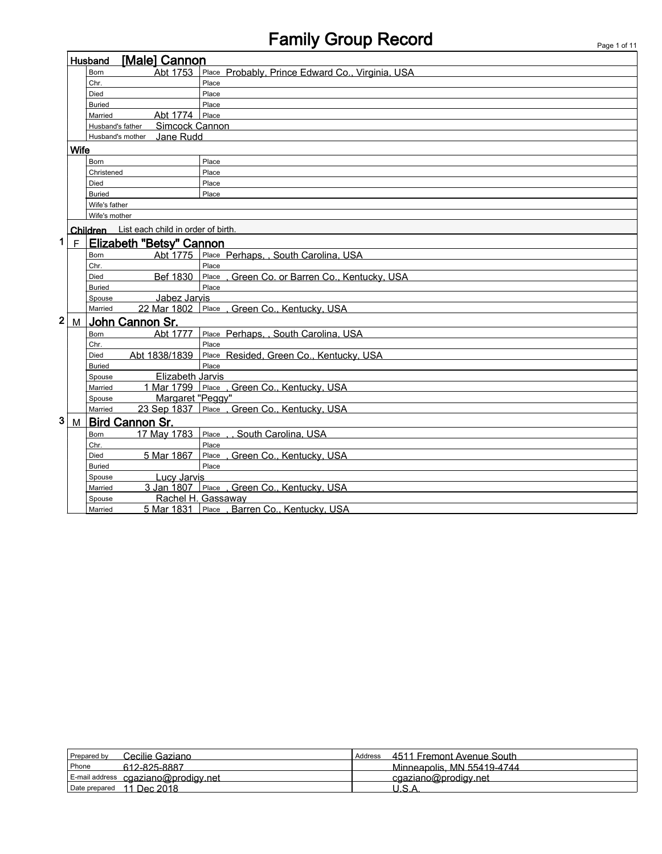# Family Group Record Page 1 of 11

|                         |                                                                      | [Male] Cannon<br>Husband                    |                                              |
|-------------------------|----------------------------------------------------------------------|---------------------------------------------|----------------------------------------------|
|                         | Abt 1753<br>Place Probably, Prince Edward Co., Virginia, USA<br>Born |                                             |                                              |
|                         |                                                                      | Chr.                                        | Place                                        |
|                         |                                                                      | Died                                        | Place                                        |
|                         |                                                                      | <b>Buried</b>                               | Place                                        |
|                         |                                                                      | Abt 1774<br>Married                         | Place                                        |
|                         |                                                                      | Simcock Cannon<br>Husband's father          |                                              |
|                         |                                                                      | Jane Rudd<br>Husband's mother               |                                              |
|                         | <b>Wife</b>                                                          |                                             |                                              |
|                         |                                                                      | <b>Born</b>                                 | Place                                        |
|                         |                                                                      | Christened                                  | Place                                        |
|                         |                                                                      | Died                                        | Place                                        |
|                         |                                                                      | <b>Buried</b>                               | Place                                        |
|                         |                                                                      | Wife's father                               |                                              |
|                         |                                                                      | Wife's mother                               |                                              |
|                         |                                                                      | Children List each child in order of birth. |                                              |
| 1                       | F                                                                    | <b>Elizabeth "Betsy" Cannon</b>             |                                              |
|                         |                                                                      | Abt 1775<br><b>Born</b>                     | Place Perhaps, , South Carolina, USA         |
|                         |                                                                      | Chr.                                        | Place                                        |
|                         |                                                                      | Bef 1830<br>Died                            | Place Green Co. or Barren Co., Kentucky, USA |
|                         |                                                                      | <b>Buried</b>                               | Place                                        |
|                         |                                                                      | Jabez Jarvis<br>Spouse                      |                                              |
|                         |                                                                      | 22 Mar 1802<br>Married                      | Place , Green Co., Kentucky, USA             |
| $\overline{\mathbf{2}}$ | M                                                                    | John Cannon Sr.                             |                                              |
|                         |                                                                      | Abt 1777<br><b>Born</b>                     | Place Perhaps, , South Carolina, USA         |
|                         |                                                                      | Chr.                                        | Place                                        |
|                         |                                                                      | Abt 1838/1839<br>Died                       | Place Resided, Green Co., Kentucky, USA      |
|                         |                                                                      | <b>Buried</b>                               | Place                                        |
|                         |                                                                      | Elizabeth Jarvis<br>Spouse                  |                                              |
|                         |                                                                      | Married                                     | 1 Mar 1799 Place . Green Co., Kentucky, USA  |
|                         |                                                                      | Margaret "Peggy"<br>Spouse                  |                                              |
|                         |                                                                      | Married                                     | 23 Sep 1837 Place . Green Co., Kentucky, USA |
| 3                       | M                                                                    | Bird Cannon Sr.                             |                                              |
|                         |                                                                      | 17 May 1783<br>Born                         | Place , , South Carolina, USA                |
|                         |                                                                      | Chr.                                        | Place                                        |
|                         |                                                                      | 5 Mar 1867<br><b>Died</b>                   | Place, Green Co., Kentucky, USA              |
|                         |                                                                      | <b>Buried</b>                               | Place                                        |
|                         |                                                                      | Lucy Jarvis<br>Spouse                       |                                              |
|                         |                                                                      | Married                                     | 3 Jan 1807 Place , Green Co., Kentucky, USA  |
|                         |                                                                      | Spouse                                      | Rachel H. Gassaway                           |
|                         |                                                                      | Married                                     | 5 Mar 1831 Place, Barren Co., Kentucky, USA  |

| Cecilie Gaziano<br>Prepared by      | 4511 Fremont Avenue South<br>Address |
|-------------------------------------|--------------------------------------|
| Phone<br>612-825-8887               | Minneapolis, MN 55419-4744           |
| E-mail address cgaziano@prodigy.net | cgaziano@prodigy.net                 |
| 11 Dec 2018<br>Date prepared        | $\overline{\phantom{a}}$             |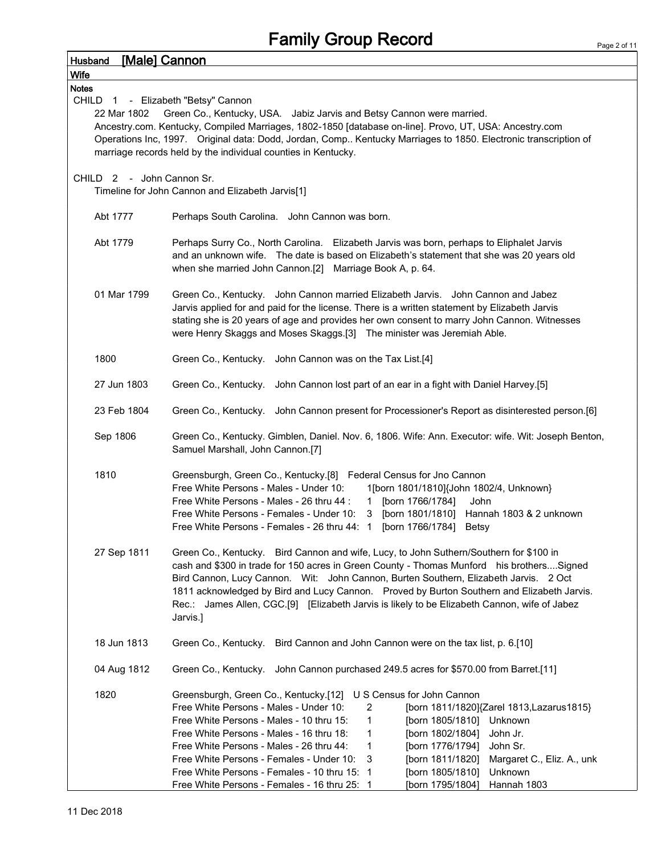| [Male] Cannon<br><b>Husband</b>                                               |                                                                                                                                                                                                                                                                                                                                                                                                                                                                                                                     |  |  |  |
|-------------------------------------------------------------------------------|---------------------------------------------------------------------------------------------------------------------------------------------------------------------------------------------------------------------------------------------------------------------------------------------------------------------------------------------------------------------------------------------------------------------------------------------------------------------------------------------------------------------|--|--|--|
| <b>Wife</b>                                                                   |                                                                                                                                                                                                                                                                                                                                                                                                                                                                                                                     |  |  |  |
| <b>Notes</b>                                                                  |                                                                                                                                                                                                                                                                                                                                                                                                                                                                                                                     |  |  |  |
| CHILD 1 - Elizabeth "Betsy" Cannon<br>22 Mar 1802                             | Green Co., Kentucky, USA. Jabiz Jarvis and Betsy Cannon were married.<br>Ancestry.com. Kentucky, Compiled Marriages, 1802-1850 [database on-line]. Provo, UT, USA: Ancestry.com                                                                                                                                                                                                                                                                                                                                     |  |  |  |
|                                                                               | Operations Inc, 1997. Original data: Dodd, Jordan, Comp Kentucky Marriages to 1850. Electronic transcription of<br>marriage records held by the individual counties in Kentucky.                                                                                                                                                                                                                                                                                                                                    |  |  |  |
| CHILD 2 - John Cannon Sr.<br>Timeline for John Cannon and Elizabeth Jarvis[1] |                                                                                                                                                                                                                                                                                                                                                                                                                                                                                                                     |  |  |  |
| Abt 1777                                                                      | Perhaps South Carolina. John Cannon was born.                                                                                                                                                                                                                                                                                                                                                                                                                                                                       |  |  |  |
| Abt 1779                                                                      | Perhaps Surry Co., North Carolina. Elizabeth Jarvis was born, perhaps to Eliphalet Jarvis<br>and an unknown wife.  The date is based on Elizabeth's statement that she was 20 years old<br>when she married John Cannon.[2] Marriage Book A, p. 64.                                                                                                                                                                                                                                                                 |  |  |  |
| 01 Mar 1799                                                                   | Green Co., Kentucky. John Cannon married Elizabeth Jarvis. John Cannon and Jabez<br>Jarvis applied for and paid for the license. There is a written statement by Elizabeth Jarvis<br>stating she is 20 years of age and provides her own consent to marry John Cannon. Witnesses<br>were Henry Skaggs and Moses Skaggs.[3] The minister was Jeremiah Able.                                                                                                                                                          |  |  |  |
| 1800                                                                          | Green Co., Kentucky. John Cannon was on the Tax List.[4]                                                                                                                                                                                                                                                                                                                                                                                                                                                            |  |  |  |
| 27 Jun 1803                                                                   | Green Co., Kentucky. John Cannon lost part of an ear in a fight with Daniel Harvey.[5]                                                                                                                                                                                                                                                                                                                                                                                                                              |  |  |  |
| 23 Feb 1804                                                                   | Green Co., Kentucky. John Cannon present for Processioner's Report as disinterested person.[6]                                                                                                                                                                                                                                                                                                                                                                                                                      |  |  |  |
| Sep 1806                                                                      | Green Co., Kentucky. Gimblen, Daniel. Nov. 6, 1806. Wife: Ann. Executor: wife. Wit: Joseph Benton,<br>Samuel Marshall, John Cannon.[7]                                                                                                                                                                                                                                                                                                                                                                              |  |  |  |
| 1810                                                                          | Greensburgh, Green Co., Kentucky.[8] Federal Census for Jno Cannon<br>Free White Persons - Males - Under 10:<br>1[born 1801/1810]{John 1802/4, Unknown}<br>Free White Persons - Males - 26 thru 44 :<br>[born 1766/1784]<br>John<br>$\mathbf{1}$<br>Hannah 1803 & 2 unknown<br>Free White Persons - Females - Under 10:<br>$\mathbf{3}$<br>[born 1801/1810]<br>[born 1766/1784] Betsy<br>Free White Persons - Females - 26 thru 44: 1                                                                               |  |  |  |
| 27 Sep 1811                                                                   | Green Co., Kentucky. Bird Cannon and wife, Lucy, to John Suthern/Southern for \$100 in<br>cash and \$300 in trade for 150 acres in Green County - Thomas Munford his brothersSigned<br>Bird Cannon, Lucy Cannon. Wit: John Cannon, Burten Southern, Elizabeth Jarvis. 2 Oct<br>1811 acknowledged by Bird and Lucy Cannon. Proved by Burton Southern and Elizabeth Jarvis.<br>Rec.: James Allen, CGC.[9] [Elizabeth Jarvis is likely to be Elizabeth Cannon, wife of Jabez<br>Jarvis.]                               |  |  |  |
| 18 Jun 1813                                                                   | Green Co., Kentucky. Bird Cannon and John Cannon were on the tax list, p. 6.[10]                                                                                                                                                                                                                                                                                                                                                                                                                                    |  |  |  |
| 04 Aug 1812                                                                   | Green Co., Kentucky. John Cannon purchased 249.5 acres for \$570.00 from Barret.[11]                                                                                                                                                                                                                                                                                                                                                                                                                                |  |  |  |
| 1820                                                                          | Greensburgh, Green Co., Kentucky.[12] U S Census for John Cannon<br>Free White Persons - Males - Under 10:<br>2<br>[born 1811/1820] {Zarel 1813, Lazarus 1815}<br>Free White Persons - Males - 10 thru 15:<br>[born 1805/1810]<br>Unknown<br>1<br>Free White Persons - Males - 16 thru 18:<br>1<br>[born 1802/1804]<br>John Jr.<br>Free White Persons - Males - 26 thru 44:<br>1<br>[born 1776/1794]<br>John Sr.<br>Free White Persons - Females - Under 10:<br>3<br>[born 1811/1820]<br>Margaret C., Eliz. A., unk |  |  |  |
|                                                                               | Free White Persons - Females - 10 thru 15: 1<br>Unknown<br>[born 1805/1810]<br>Free White Persons - Females - 16 thru 25: 1<br>[born 1795/1804]<br>Hannah 1803                                                                                                                                                                                                                                                                                                                                                      |  |  |  |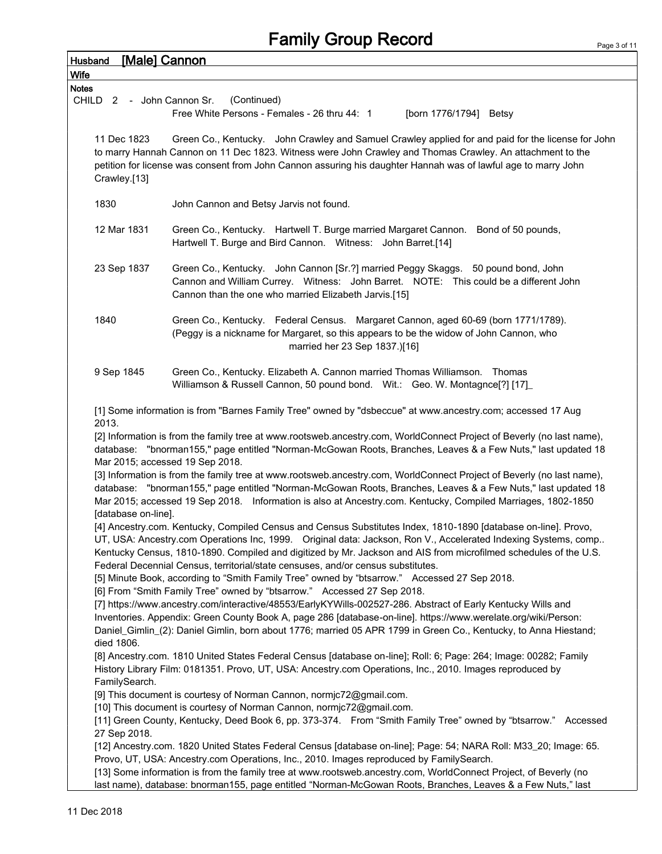## Family Group Record

| <b>Husband</b>                                                         | <b>[Male] Cannon</b>        |                                                                                                                                                                                                                                                                                                                                                                                                                                          |  |  |
|------------------------------------------------------------------------|-----------------------------|------------------------------------------------------------------------------------------------------------------------------------------------------------------------------------------------------------------------------------------------------------------------------------------------------------------------------------------------------------------------------------------------------------------------------------------|--|--|
| <b>Notes</b>                                                           | <b>Wife</b>                 |                                                                                                                                                                                                                                                                                                                                                                                                                                          |  |  |
| CHILD                                                                  | $\overline{2}$              | (Continued)<br>- John Cannon Sr.                                                                                                                                                                                                                                                                                                                                                                                                         |  |  |
| Free White Persons - Females - 26 thru 44: 1<br>[born 1776/1794] Betsy |                             |                                                                                                                                                                                                                                                                                                                                                                                                                                          |  |  |
|                                                                        | 11 Dec 1823<br>Crawley.[13] | Green Co., Kentucky. John Crawley and Samuel Crawley applied for and paid for the license for John<br>to marry Hannah Cannon on 11 Dec 1823. Witness were John Crawley and Thomas Crawley. An attachment to the<br>petition for license was consent from John Cannon assuring his daughter Hannah was of lawful age to marry John                                                                                                        |  |  |
|                                                                        | 1830                        | John Cannon and Betsy Jarvis not found.                                                                                                                                                                                                                                                                                                                                                                                                  |  |  |
|                                                                        | 12 Mar 1831                 | Green Co., Kentucky. Hartwell T. Burge married Margaret Cannon.<br>Bond of 50 pounds,<br>Hartwell T. Burge and Bird Cannon. Witness: John Barret.[14]                                                                                                                                                                                                                                                                                    |  |  |
|                                                                        | 23 Sep 1837                 | Green Co., Kentucky. John Cannon [Sr.?] married Peggy Skaggs. 50 pound bond, John<br>Cannon and William Currey. Witness: John Barret. NOTE: This could be a different John<br>Cannon than the one who married Elizabeth Jarvis.[15]                                                                                                                                                                                                      |  |  |
|                                                                        | 1840                        | Green Co., Kentucky. Federal Census. Margaret Cannon, aged 60-69 (born 1771/1789).<br>(Peggy is a nickname for Margaret, so this appears to be the widow of John Cannon, who<br>married her 23 Sep 1837.)[16]                                                                                                                                                                                                                            |  |  |
|                                                                        | 9 Sep 1845                  | Green Co., Kentucky. Elizabeth A. Cannon married Thomas Williamson. Thomas<br>Williamson & Russell Cannon, 50 pound bond. Wit.: Geo. W. Montagnce[?] [17]                                                                                                                                                                                                                                                                                |  |  |
|                                                                        | 2013.                       | [1] Some information is from "Barnes Family Tree" owned by "dsbeccue" at www.ancestry.com; accessed 17 Aug<br>[2] Information is from the family tree at www.rootsweb.ancestry.com, WorldConnect Project of Beverly (no last name),<br>database: "bnorman155," page entitled "Norman-McGowan Roots, Branches, Leaves & a Few Nuts," last updated 18<br>Mar 2015; accessed 19 Sep 2018.                                                   |  |  |
|                                                                        | [database on-line].         | [3] Information is from the family tree at www.rootsweb.ancestry.com, WorldConnect Project of Beverly (no last name),<br>database: "bnorman155," page entitled "Norman-McGowan Roots, Branches, Leaves & a Few Nuts," last updated 18<br>Mar 2015; accessed 19 Sep 2018. Information is also at Ancestry.com. Kentucky, Compiled Marriages, 1802-1850                                                                                    |  |  |
|                                                                        |                             | [4] Ancestry.com. Kentucky, Compiled Census and Census Substitutes Index, 1810-1890 [database on-line]. Provo,<br>UT, USA: Ancestry.com Operations Inc, 1999. Original data: Jackson, Ron V., Accelerated Indexing Systems, comp<br>Kentucky Census, 1810-1890. Compiled and digitized by Mr. Jackson and AIS from microfilmed schedules of the U.S.<br>Federal Decennial Census, territorial/state censuses, and/or census substitutes. |  |  |
|                                                                        |                             | [5] Minute Book, according to "Smith Family Tree" owned by "btsarrow." Accessed 27 Sep 2018.<br>[6] From "Smith Family Tree" owned by "btsarrow." Accessed 27 Sep 2018.                                                                                                                                                                                                                                                                  |  |  |
|                                                                        |                             | [7] https://www.ancestry.com/interactive/48553/EarlyKYWills-002527-286. Abstract of Early Kentucky Wills and                                                                                                                                                                                                                                                                                                                             |  |  |
|                                                                        | died 1806.                  | Inventories. Appendix: Green County Book A, page 286 [database-on-line]. https://www.werelate.org/wiki/Person:<br>Daniel_Gimlin_(2): Daniel Gimlin, born about 1776; married 05 APR 1799 in Green Co., Kentucky, to Anna Hiestand;                                                                                                                                                                                                       |  |  |
|                                                                        | FamilySearch.               | [8] Ancestry.com. 1810 United States Federal Census [database on-line]; Roll: 6; Page: 264; Image: 00282; Family<br>History Library Film: 0181351. Provo, UT, USA: Ancestry.com Operations, Inc., 2010. Images reproduced by                                                                                                                                                                                                             |  |  |
|                                                                        |                             | [9] This document is courtesy of Norman Cannon, normjc72@gmail.com.<br>[10] This document is courtesy of Norman Cannon, normjc72@gmail.com.                                                                                                                                                                                                                                                                                              |  |  |
|                                                                        | 27 Sep 2018.                | [11] Green County, Kentucky, Deed Book 6, pp. 373-374. From "Smith Family Tree" owned by "btsarrow." Accessed                                                                                                                                                                                                                                                                                                                            |  |  |
|                                                                        |                             | [12] Ancestry.com. 1820 United States Federal Census [database on-line]; Page: 54; NARA Roll: M33_20; Image: 65.                                                                                                                                                                                                                                                                                                                         |  |  |
|                                                                        |                             | Provo, UT, USA: Ancestry.com Operations, Inc., 2010. Images reproduced by FamilySearch.                                                                                                                                                                                                                                                                                                                                                  |  |  |
|                                                                        |                             | [13] Some information is from the family tree at www.rootsweb.ancestry.com, WorldConnect Project, of Beverly (no<br>last name), database: bnorman155, page entitled "Norman-McGowan Roots, Branches, Leaves & a Few Nuts," last                                                                                                                                                                                                          |  |  |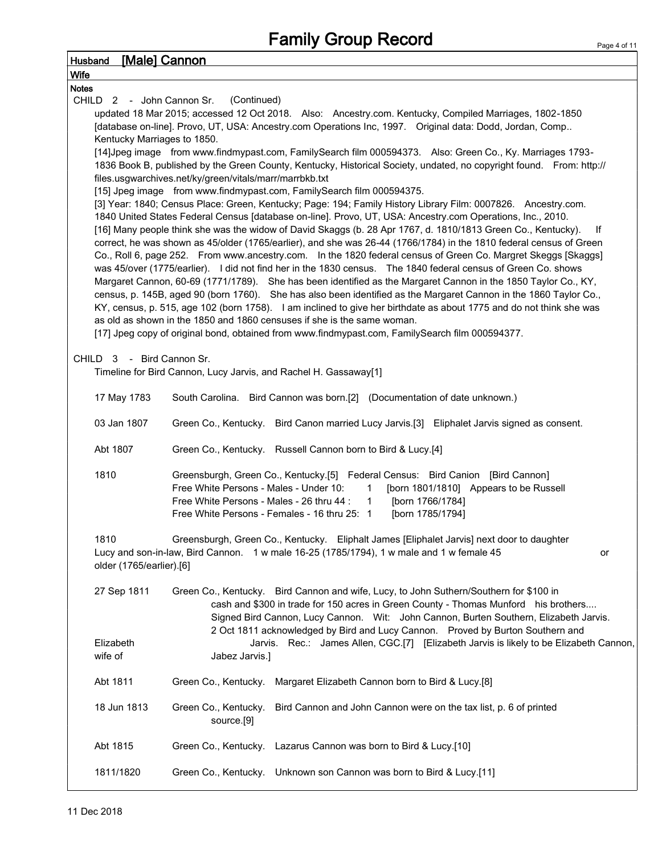| <b>[Male] Cannon</b><br><b>Husband</b>                                                                                                                                                         |  |  |  |
|------------------------------------------------------------------------------------------------------------------------------------------------------------------------------------------------|--|--|--|
| <b>Wife</b>                                                                                                                                                                                    |  |  |  |
| <b>Notes</b>                                                                                                                                                                                   |  |  |  |
| (Continued)<br>CHILD 2 - John Cannon Sr.                                                                                                                                                       |  |  |  |
| updated 18 Mar 2015; accessed 12 Oct 2018. Also: Ancestry.com. Kentucky, Compiled Marriages, 1802-1850                                                                                         |  |  |  |
| [database on-line]. Provo, UT, USA: Ancestry.com Operations Inc, 1997. Original data: Dodd, Jordan, Comp                                                                                       |  |  |  |
| Kentucky Marriages to 1850.                                                                                                                                                                    |  |  |  |
| [14] Jpeg image from www.findmypast.com, Family Search film 000594373. Also: Green Co., Ky. Marriages 1793-                                                                                    |  |  |  |
| 1836 Book B, published by the Green County, Kentucky, Historical Society, undated, no copyright found. From: http://                                                                           |  |  |  |
| files.usgwarchives.net/ky/green/vitals/marr/marrbkb.txt                                                                                                                                        |  |  |  |
| [15] Jpeg image from www.findmypast.com, FamilySearch film 000594375.                                                                                                                          |  |  |  |
| [3] Year: 1840; Census Place: Green, Kentucky; Page: 194; Family History Library Film: 0007826. Ancestry.com.                                                                                  |  |  |  |
| 1840 United States Federal Census [database on-line]. Provo, UT, USA: Ancestry.com Operations, Inc., 2010.                                                                                     |  |  |  |
| [16] Many people think she was the widow of David Skaggs (b. 28 Apr 1767, d. 1810/1813 Green Co., Kentucky).<br>lf                                                                             |  |  |  |
| correct, he was shown as 45/older (1765/earlier), and she was 26-44 (1766/1784) in the 1810 federal census of Green                                                                            |  |  |  |
| Co., Roll 6, page 252. From www.ancestry.com. In the 1820 federal census of Green Co. Margret Skeggs [Skaggs]                                                                                  |  |  |  |
| was 45/over (1775/earlier). I did not find her in the 1830 census. The 1840 federal census of Green Co. shows                                                                                  |  |  |  |
| Margaret Cannon, 60-69 (1771/1789). She has been identified as the Margaret Cannon in the 1850 Taylor Co., KY,                                                                                 |  |  |  |
| census, p. 145B, aged 90 (born 1760). She has also been identified as the Margaret Cannon in the 1860 Taylor Co.,                                                                              |  |  |  |
| KY, census, p. 515, age 102 (born 1758). I am inclined to give her birthdate as about 1775 and do not think she was<br>as old as shown in the 1850 and 1860 censuses if she is the same woman. |  |  |  |
|                                                                                                                                                                                                |  |  |  |
| [17] Jpeg copy of original bond, obtained from www.findmypast.com, FamilySearch film 000594377.                                                                                                |  |  |  |
| CHILD 3 - Bird Cannon Sr.                                                                                                                                                                      |  |  |  |
| Timeline for Bird Cannon, Lucy Jarvis, and Rachel H. Gassaway[1]                                                                                                                               |  |  |  |
|                                                                                                                                                                                                |  |  |  |
| South Carolina. Bird Cannon was born.[2] (Documentation of date unknown.)<br>17 May 1783                                                                                                       |  |  |  |
| 03 Jan 1807<br>Green Co., Kentucky. Bird Canon married Lucy Jarvis.[3] Eliphalet Jarvis signed as consent.                                                                                     |  |  |  |
| Abt 1807<br>Green Co., Kentucky. Russell Cannon born to Bird & Lucy.[4]                                                                                                                        |  |  |  |
| 1810<br>Greensburgh, Green Co., Kentucky.[5] Federal Census: Bird Canion [Bird Cannon]                                                                                                         |  |  |  |
| Free White Persons - Males - Under 10:<br>[born 1801/1810] Appears to be Russell<br>$\mathbf{1}$                                                                                               |  |  |  |
| Free White Persons - Males - 26 thru 44 :<br>[born 1766/1784]<br>$\mathbf{1}$                                                                                                                  |  |  |  |
| Free White Persons - Females - 16 thru 25: 1<br>[born 1785/1794]                                                                                                                               |  |  |  |
|                                                                                                                                                                                                |  |  |  |
| Greensburgh, Green Co., Kentucky. Eliphalt James [Eliphalet Jarvis] next door to daughter<br>1810                                                                                              |  |  |  |
| Lucy and son-in-law, Bird Cannon. 1 w male 16-25 (1785/1794), 1 w male and 1 w female 45<br>or                                                                                                 |  |  |  |
| older (1765/earlier).[6]                                                                                                                                                                       |  |  |  |
|                                                                                                                                                                                                |  |  |  |
| 27 Sep 1811<br>Green Co., Kentucky. Bird Cannon and wife, Lucy, to John Suthern/Southern for \$100 in                                                                                          |  |  |  |
| cash and \$300 in trade for 150 acres in Green County - Thomas Munford his brothers                                                                                                            |  |  |  |
| Signed Bird Cannon, Lucy Cannon. Wit: John Cannon, Burten Southern, Elizabeth Jarvis.                                                                                                          |  |  |  |
| 2 Oct 1811 acknowledged by Bird and Lucy Cannon. Proved by Burton Southern and                                                                                                                 |  |  |  |
| Elizabeth<br>Jarvis. Rec.: James Allen, CGC.[7] [Elizabeth Jarvis is likely to be Elizabeth Cannon,                                                                                            |  |  |  |
| wife of<br>Jabez Jarvis.]                                                                                                                                                                      |  |  |  |
| Abt 1811<br>Green Co., Kentucky.<br>Margaret Elizabeth Cannon born to Bird & Lucy.[8]                                                                                                          |  |  |  |
| 18 Jun 1813<br>Green Co., Kentucky.<br>Bird Cannon and John Cannon were on the tax list, p. 6 of printed<br>source.[9]                                                                         |  |  |  |
| Abt 1815<br>Green Co., Kentucky. Lazarus Cannon was born to Bird & Lucy.[10]                                                                                                                   |  |  |  |
| 1811/1820<br>Green Co., Kentucky. Unknown son Cannon was born to Bird & Lucy.[11]                                                                                                              |  |  |  |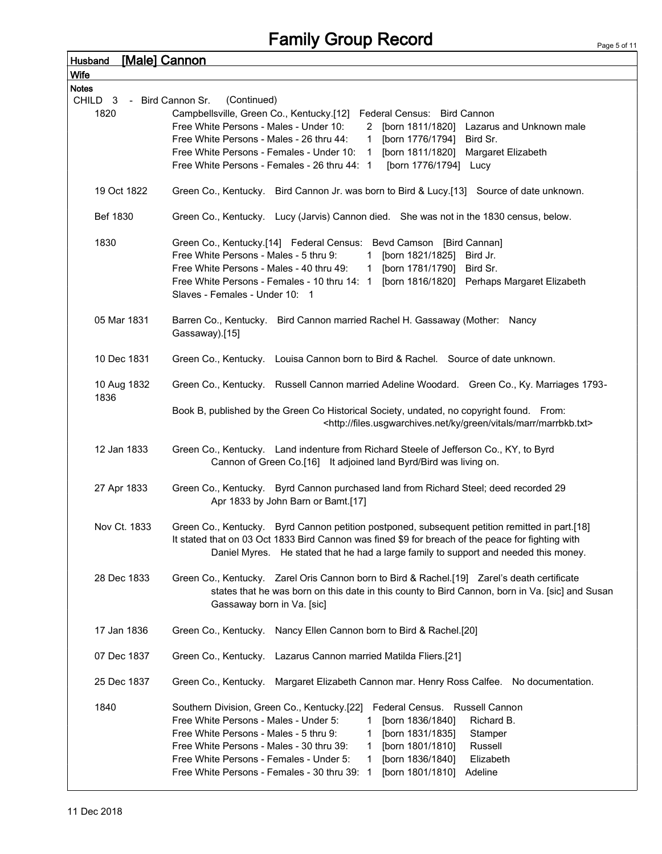## Family Group Record

| Husband<br>Wife     | [Male] Cannon                                                                                                                                                                         |
|---------------------|---------------------------------------------------------------------------------------------------------------------------------------------------------------------------------------|
| <b>Notes</b>        |                                                                                                                                                                                       |
| CHILD <sub>3</sub>  | (Continued)<br>- Bird Cannon Sr.                                                                                                                                                      |
| 1820                | Campbellsville, Green Co., Kentucky.[12] Federal Census: Bird Cannon                                                                                                                  |
|                     | Free White Persons - Males - Under 10:                                                                                                                                                |
|                     | 2 [born 1811/1820] Lazarus and Unknown male                                                                                                                                           |
|                     | Free White Persons - Males - 26 thru 44:<br>[born 1776/1794]<br>Bird Sr.<br>$\mathbf{1}$<br>Free White Persons - Females - Under 10: 1<br>[born 1811/1820]                            |
|                     | Margaret Elizabeth<br>Free White Persons - Females - 26 thru 44: 1<br>[born 1776/1794] Lucy                                                                                           |
|                     |                                                                                                                                                                                       |
| 19 Oct 1822         | Green Co., Kentucky. Bird Cannon Jr. was born to Bird & Lucy.[13] Source of date unknown.                                                                                             |
| Bef 1830            | Green Co., Kentucky. Lucy (Jarvis) Cannon died. She was not in the 1830 census, below.                                                                                                |
| 1830                | Green Co., Kentucky.[14] Federal Census: Bevd Camson [Bird Cannan]                                                                                                                    |
|                     | Free White Persons - Males - 5 thru 9:<br>1 [born 1821/1825] Bird Jr.                                                                                                                 |
|                     | Free White Persons - Males - 40 thru 49:<br>1 [born 1781/1790]<br>Bird Sr.                                                                                                            |
|                     | Free White Persons - Females - 10 thru 14: 1<br>[born 1816/1820] Perhaps Margaret Elizabeth                                                                                           |
|                     | Slaves - Females - Under 10: 1                                                                                                                                                        |
| 05 Mar 1831         | Barren Co., Kentucky. Bird Cannon married Rachel H. Gassaway (Mother: Nancy                                                                                                           |
|                     | Gassaway).[15]                                                                                                                                                                        |
|                     |                                                                                                                                                                                       |
| 10 Dec 1831         | Green Co., Kentucky. Louisa Cannon born to Bird & Rachel. Source of date unknown.                                                                                                     |
| 10 Aug 1832<br>1836 | Green Co., Kentucky. Russell Cannon married Adeline Woodard. Green Co., Ky. Marriages 1793-                                                                                           |
|                     | Book B, published by the Green Co Historical Society, undated, no copyright found. From:<br><http: files.usgwarchives.net="" green="" ky="" marr="" marrbkb.txt="" vitals=""></http:> |
| 12 Jan 1833         | Green Co., Kentucky. Land indenture from Richard Steele of Jefferson Co., KY, to Byrd                                                                                                 |
|                     | Cannon of Green Co.[16] It adjoined land Byrd/Bird was living on.                                                                                                                     |
| 27 Apr 1833         | Green Co., Kentucky. Byrd Cannon purchased land from Richard Steel; deed recorded 29                                                                                                  |
|                     | Apr 1833 by John Barn or Bamt.[17]                                                                                                                                                    |
| Nov Ct. 1833        | Green Co., Kentucky. Byrd Cannon petition postponed, subsequent petition remitted in part.[18]                                                                                        |
|                     | It stated that on 03 Oct 1833 Bird Cannon was fined \$9 for breach of the peace for fighting with                                                                                     |
|                     | Daniel Myres. He stated that he had a large family to support and needed this money.                                                                                                  |
|                     |                                                                                                                                                                                       |
| 28 Dec 1833         | Green Co., Kentucky. Zarel Oris Cannon born to Bird & Rachel.[19] Zarel's death certificate                                                                                           |
|                     | states that he was born on this date in this county to Bird Cannon, born in Va. [sic] and Susan                                                                                       |
|                     | Gassaway born in Va. [sic]                                                                                                                                                            |
|                     |                                                                                                                                                                                       |
| 17 Jan 1836         | Green Co., Kentucky. Nancy Ellen Cannon born to Bird & Rachel.[20]                                                                                                                    |
|                     |                                                                                                                                                                                       |
| 07 Dec 1837         | Green Co., Kentucky. Lazarus Cannon married Matilda Fliers.[21]                                                                                                                       |
| 25 Dec 1837         | Green Co., Kentucky.<br>Margaret Elizabeth Cannon mar. Henry Ross Calfee. No documentation.                                                                                           |
|                     |                                                                                                                                                                                       |
| 1840                | Federal Census. Russell Cannon<br>Southern Division, Green Co., Kentucky.[22]                                                                                                         |
|                     | Free White Persons - Males - Under 5:<br>[born 1836/1840]<br>Richard B.<br>1                                                                                                          |
|                     | Free White Persons - Males - 5 thru 9:<br>[born 1831/1835]<br>Stamper<br>1                                                                                                            |
|                     | [born 1801/1810]<br>Free White Persons - Males - 30 thru 39:<br>Russell<br>1                                                                                                          |
|                     | Free White Persons - Females - Under 5:<br>[born 1836/1840]<br>Elizabeth<br>1.                                                                                                        |
|                     | Free White Persons - Females - 30 thru 39: 1<br>[born 1801/1810]<br>Adeline                                                                                                           |
|                     |                                                                                                                                                                                       |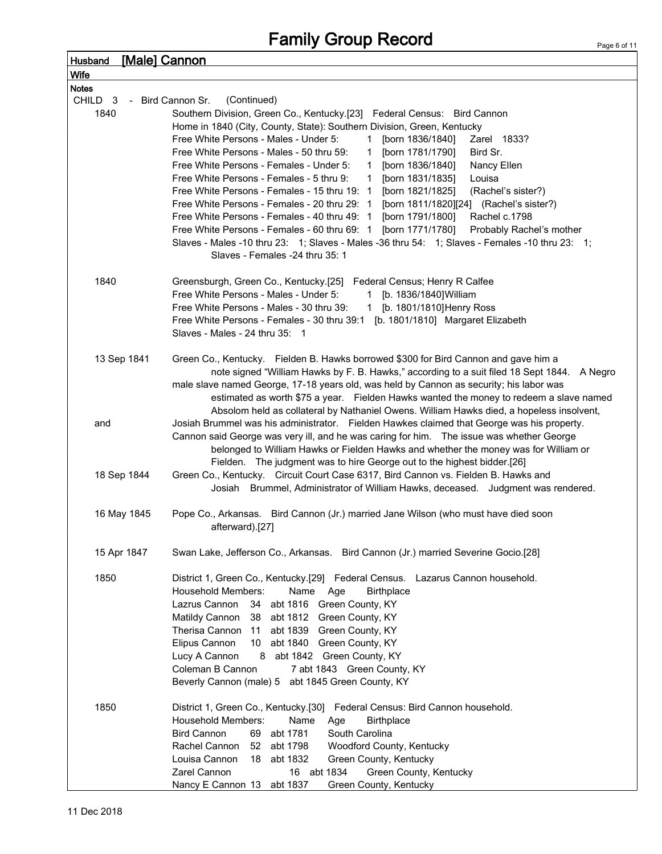| <b>Husband</b>     | <u>[Male] Cannon</u>                                                                         |                                                                                                                                                                |
|--------------------|----------------------------------------------------------------------------------------------|----------------------------------------------------------------------------------------------------------------------------------------------------------------|
| Wife               |                                                                                              |                                                                                                                                                                |
| <b>Notes</b>       |                                                                                              |                                                                                                                                                                |
| CHILD <sub>3</sub> | (Continued)<br>- Bird Cannon Sr.                                                             |                                                                                                                                                                |
| 1840               |                                                                                              | Southern Division, Green Co., Kentucky.[23] Federal Census: Bird Cannon                                                                                        |
|                    |                                                                                              | Home in 1840 (City, County, State): Southern Division, Green, Kentucky                                                                                         |
|                    | Free White Persons - Males - Under 5:                                                        | [born 1836/1840]<br>Zarel 1833?<br>1                                                                                                                           |
|                    | Free White Persons - Males - 50 thru 59:                                                     | [born 1781/1790]<br>Bird Sr.<br>$\mathbf{1}$                                                                                                                   |
|                    | Free White Persons - Females - Under 5:                                                      | [born 1836/1840]<br>Nancy Ellen<br>$\mathbf{1}$                                                                                                                |
|                    | Free White Persons - Females - 5 thru 9:                                                     | [born 1831/1835]<br>Louisa<br>$\mathbf{1}$                                                                                                                     |
|                    | Free White Persons - Females - 15 thru 19: 1                                                 | [born 1821/1825]<br>(Rachel's sister?)                                                                                                                         |
|                    | Free White Persons - Females - 20 thru 29: 1<br>Free White Persons - Females - 40 thru 49: 1 | [born 1811/1820][24] (Rachel's sister?)                                                                                                                        |
|                    | Free White Persons - Females - 60 thru 69: 1                                                 | [born 1791/1800]<br>Rachel c.1798<br>[born 1771/1780]<br>Probably Rachel's mother                                                                              |
|                    |                                                                                              | Slaves - Males -10 thru 23: 1; Slaves - Males -36 thru 54: 1; Slaves - Females -10 thru 23: 1;                                                                 |
|                    | Slaves - Females -24 thru 35: 1                                                              |                                                                                                                                                                |
|                    |                                                                                              |                                                                                                                                                                |
| 1840               |                                                                                              | Greensburgh, Green Co., Kentucky.[25] Federal Census; Henry R Calfee                                                                                           |
|                    | Free White Persons - Males - Under 5:                                                        | [b. 1836/1840] William<br>1                                                                                                                                    |
|                    | Free White Persons - Males - 30 thru 39:                                                     | 1 [b. 1801/1810] Henry Ross                                                                                                                                    |
|                    |                                                                                              | Free White Persons - Females - 30 thru 39:1 [b. 1801/1810] Margaret Elizabeth                                                                                  |
|                    | Slaves - Males - 24 thru $35: 1$                                                             |                                                                                                                                                                |
|                    |                                                                                              |                                                                                                                                                                |
|                    | 13 Sep 1841                                                                                  | Green Co., Kentucky. Fielden B. Hawks borrowed \$300 for Bird Cannon and gave him a                                                                            |
|                    |                                                                                              | note signed "William Hawks by F. B. Hawks," according to a suit filed 18 Sept 1844. A Negro                                                                    |
|                    |                                                                                              | male slave named George, 17-18 years old, was held by Cannon as security; his labor was                                                                        |
|                    |                                                                                              | estimated as worth \$75 a year. Fielden Hawks wanted the money to redeem a slave named                                                                         |
|                    |                                                                                              | Absolom held as collateral by Nathaniel Owens. William Hawks died, a hopeless insolvent,                                                                       |
| and                |                                                                                              | Josiah Brummel was his administrator. Fielden Hawkes claimed that George was his property.                                                                     |
|                    |                                                                                              | Cannon said George was very ill, and he was caring for him.  The issue was whether George                                                                      |
|                    |                                                                                              | belonged to William Hawks or Fielden Hawks and whether the money was for William or<br>Fielden. The judgment was to hire George out to the highest bidder.[26] |
|                    | 18 Sep 1844                                                                                  | Green Co., Kentucky. Circuit Court Case 6317, Bird Cannon vs. Fielden B. Hawks and                                                                             |
|                    |                                                                                              | Josiah Brummel, Administrator of William Hawks, deceased. Judgment was rendered.                                                                               |
|                    |                                                                                              |                                                                                                                                                                |
|                    | 16 May 1845                                                                                  | Pope Co., Arkansas. Bird Cannon (Jr.) married Jane Wilson (who must have died soon                                                                             |
|                    | afterward).[27]                                                                              |                                                                                                                                                                |
|                    |                                                                                              |                                                                                                                                                                |
|                    | 15 Apr 1847                                                                                  | Swan Lake, Jefferson Co., Arkansas. Bird Cannon (Jr.) married Severine Gocio.[28]                                                                              |
|                    |                                                                                              |                                                                                                                                                                |
| 1850               |                                                                                              | District 1, Green Co., Kentucky.[29] Federal Census. Lazarus Cannon household.                                                                                 |
|                    | Household Members:                                                                           | Name<br><b>Birthplace</b><br>Age                                                                                                                               |
|                    | Lazrus Cannon                                                                                | 34 abt 1816 Green County, KY                                                                                                                                   |
|                    | Matildy Cannon 38 abt 1812 Green County, KY                                                  |                                                                                                                                                                |
|                    | Therisa Cannon 11 abt 1839 Green County, KY                                                  |                                                                                                                                                                |
|                    | Elipus Cannon                                                                                | 10 abt 1840 Green County, KY                                                                                                                                   |
|                    | Lucy A Cannon                                                                                | 8 abt 1842 Green County, KY                                                                                                                                    |
|                    | Coleman B Cannon<br>Beverly Cannon (male) 5 abt 1845 Green County, KY                        | 7 abt 1843 Green County, KY                                                                                                                                    |
|                    |                                                                                              |                                                                                                                                                                |
| 1850               |                                                                                              | District 1, Green Co., Kentucky.[30] Federal Census: Bird Cannon household.                                                                                    |
|                    | <b>Household Members:</b>                                                                    | Name<br><b>Birthplace</b><br>Age                                                                                                                               |
|                    | abt 1781<br><b>Bird Cannon</b><br>69                                                         | South Carolina                                                                                                                                                 |
|                    | Rachel Cannon<br>52 abt 1798                                                                 | Woodford County, Kentucky                                                                                                                                      |
|                    | 18 abt 1832<br>Louisa Cannon                                                                 | Green County, Kentucky                                                                                                                                         |
|                    | Zarel Cannon                                                                                 | 16 abt 1834<br>Green County, Kentucky                                                                                                                          |
|                    | Nancy E Cannon 13<br>abt 1837                                                                | Green County, Kentucky                                                                                                                                         |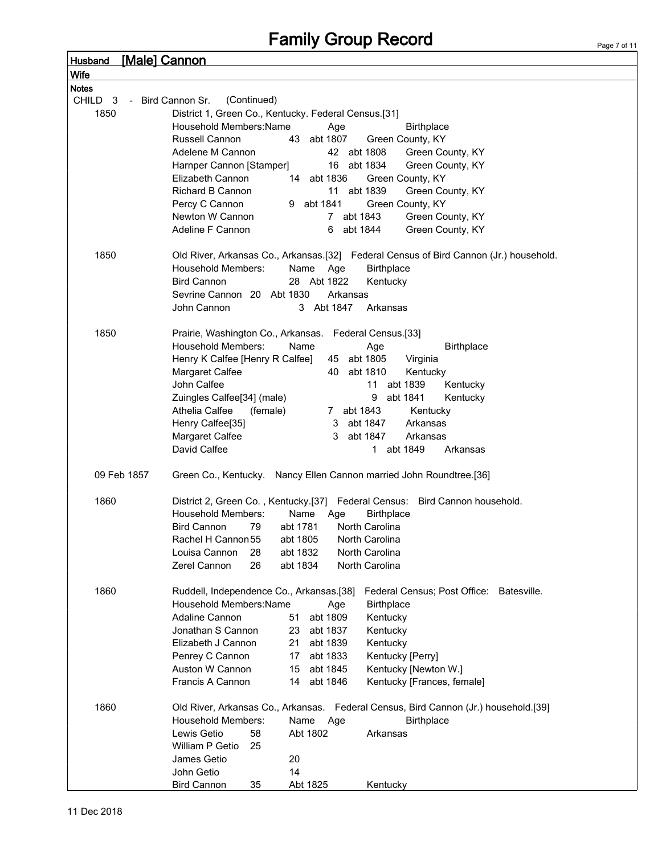| Husband            | <u>[Male] Cannon</u>                                                                  |
|--------------------|---------------------------------------------------------------------------------------|
| Wife               |                                                                                       |
| <b>Notes</b>       |                                                                                       |
| CHILD <sub>3</sub> | (Continued)<br>- Bird Cannon Sr.                                                      |
| 1850               | District 1, Green Co., Kentucky. Federal Census.[31]                                  |
|                    | Household Members: Name<br><b>Birthplace</b><br>Age                                   |
|                    | Russell Cannon<br>43<br>abt 1807<br>Green County, KY                                  |
|                    | 42 abt 1808<br>Adelene M Cannon<br>Green County, KY                                   |
|                    | abt 1834<br>Green County, KY<br>Harnper Cannon [Stamper]<br>16                        |
|                    | Elizabeth Cannon<br>abt 1836<br>14<br>Green County, KY                                |
|                    | <b>Richard B Cannon</b><br>abt 1839<br>11<br>Green County, KY                         |
|                    | Percy C Cannon<br>9 abt 1841<br>Green County, KY                                      |
|                    | Newton W Cannon<br>abt 1843<br>$7^{\circ}$<br>Green County, KY                        |
|                    | Adeline F Cannon<br>Green County, KY<br>abt 1844<br>6                                 |
| 1850               | Old River, Arkansas Co., Arkansas.[32] Federal Census of Bird Cannon (Jr.) household. |
|                    | <b>Household Members:</b><br>Name<br>Age<br><b>Birthplace</b>                         |
|                    | <b>Bird Cannon</b><br>28 Abt 1822<br>Kentucky                                         |
|                    | Sevrine Cannon 20 Abt 1830<br>Arkansas                                                |
|                    | 3 Abt 1847<br>John Cannon<br>Arkansas                                                 |
|                    |                                                                                       |
| 1850               | Prairie, Washington Co., Arkansas.<br>Federal Census.[33]                             |
|                    | <b>Household Members:</b><br>Name<br>Age<br><b>Birthplace</b>                         |
|                    | Henry K Calfee [Henry R Calfee]<br>45 abt 1805<br>Virginia                            |
|                    | Margaret Calfee<br>40<br>abt 1810<br>Kentucky                                         |
|                    | John Calfee<br>11 abt 1839<br>Kentucky                                                |
|                    | Zuingles Calfee[34] (male)<br>9<br>abt 1841<br>Kentucky                               |
|                    | Athelia Calfee<br>(female)<br>7 abt 1843<br>Kentucky                                  |
|                    | Henry Calfee[35]<br>3<br>abt 1847<br>Arkansas                                         |
|                    | Margaret Calfee<br>3<br>abt 1847<br>Arkansas<br>David Calfee                          |
|                    | abt 1849<br>$\mathbf{1}$<br>Arkansas                                                  |
| 09 Feb 1857        | Green Co., Kentucky. Nancy Ellen Cannon married John Roundtree.[36]                   |
|                    |                                                                                       |
| 1860               | District 2, Green Co., Kentucky.[37] Federal Census: Bird Cannon household.           |
|                    | Household Members:<br>Birthplace<br>Name<br>Age                                       |
|                    | <b>Bird Cannon</b><br>79<br>abt 1781<br>North Carolina                                |
|                    | Rachel H Cannon 55<br>abt 1805<br>North Carolina                                      |
|                    | North Carolina<br>Louisa Cannon<br>abt 1832<br>28                                     |
|                    | North Carolina<br>Zerel Cannon<br>26<br>abt 1834                                      |
| 1860               | Ruddell, Independence Co., Arkansas.[38]<br>Federal Census; Post Office: Batesville.  |
|                    | Household Members: Name<br><b>Birthplace</b><br>Age                                   |
|                    | Adaline Cannon<br>abt 1809<br>Kentucky<br>51                                          |
|                    | Jonathan S Cannon<br>23 abt 1837<br>Kentucky                                          |
|                    | Elizabeth J Cannon<br>21 abt 1839<br>Kentucky                                         |
|                    | abt 1833<br>Penrey C Cannon<br>17 <sup>2</sup><br>Kentucky [Perry]                    |
|                    | Auston W Cannon<br>abt 1845<br>15<br>Kentucky [Newton W.]                             |
|                    | Francis A Cannon<br>abt 1846<br>Kentucky [Frances, female]<br>14                      |
|                    |                                                                                       |
| 1860               | Old River, Arkansas Co., Arkansas. Federal Census, Bird Cannon (Jr.) household.[39]   |
|                    | Household Members:<br>Name<br><b>Birthplace</b><br>Age                                |
|                    | Lewis Getio<br>58<br>Abt 1802<br>Arkansas                                             |
|                    | William P Getio<br>25                                                                 |
|                    | 20<br>James Getio                                                                     |
|                    | John Getio<br>14                                                                      |
|                    | <b>Bird Cannon</b><br>35<br>Abt 1825<br>Kentucky                                      |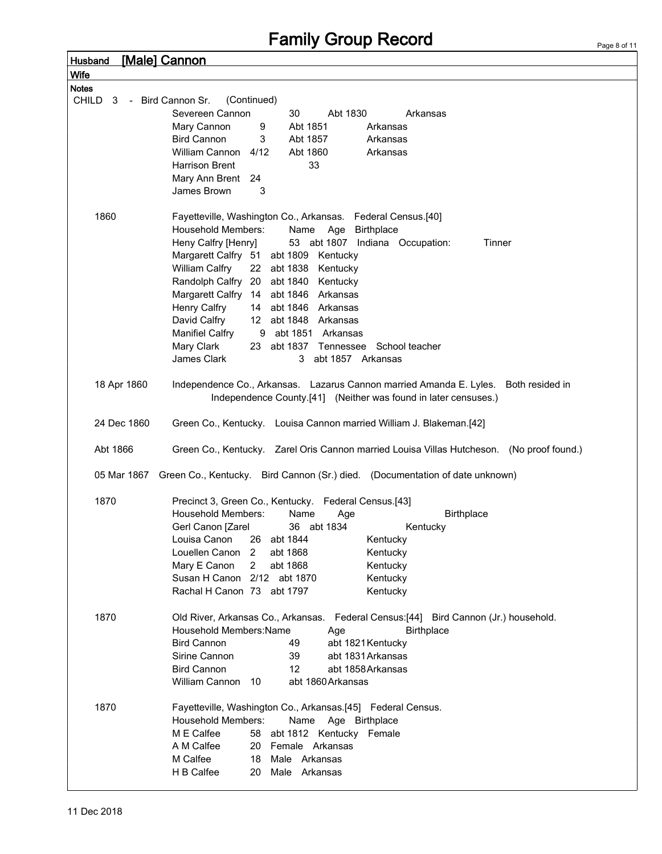Husband [Male] Cannon

| Record   |  |  |  |
|----------|--|--|--|
|          |  |  |  |
|          |  |  |  |
|          |  |  |  |
|          |  |  |  |
| Arkansas |  |  |  |
| ansas:   |  |  |  |

| Wife                         |                                                                                                                                                        |
|------------------------------|--------------------------------------------------------------------------------------------------------------------------------------------------------|
| <b>Notes</b>                 |                                                                                                                                                        |
| CHILD<br>3 - Bird Cannon Sr. | (Continued)                                                                                                                                            |
|                              | Severeen Cannon<br>30<br>Abt 1830<br>Arkansas                                                                                                          |
|                              | Mary Cannon<br>9<br>Abt 1851<br>Arkansas                                                                                                               |
|                              | <b>Bird Cannon</b><br>3<br>Abt 1857<br>Arkansas                                                                                                        |
|                              | William Cannon<br>4/12<br>Abt 1860<br>Arkansas                                                                                                         |
|                              | 33<br><b>Harrison Brent</b>                                                                                                                            |
|                              | Mary Ann Brent<br>24                                                                                                                                   |
|                              | James Brown<br>3                                                                                                                                       |
|                              |                                                                                                                                                        |
|                              |                                                                                                                                                        |
| 1860                         | Fayetteville, Washington Co., Arkansas. Federal Census.[40]<br>Household Members:                                                                      |
|                              | Name<br>Age<br><b>Birthplace</b>                                                                                                                       |
|                              | 53 abt 1807 Indiana Occupation:<br>Heny Calfry [Henry]<br>Tinner                                                                                       |
|                              | Margarett Calfry 51 abt 1809 Kentucky                                                                                                                  |
|                              | William Calfry<br>22 abt 1838<br>Kentucky                                                                                                              |
|                              | Randolph Calfry 20 abt 1840 Kentucky                                                                                                                   |
|                              | Margarett Calfry 14 abt 1846 Arkansas                                                                                                                  |
|                              | Henry Calfry<br>14 abt 1846 Arkansas                                                                                                                   |
|                              | David Calfry<br>12 abt 1848 Arkansas                                                                                                                   |
|                              | <b>Manifiel Calfry</b><br>9 abt 1851 Arkansas                                                                                                          |
|                              | Mary Clark<br>23 abt 1837 Tennessee School teacher                                                                                                     |
|                              | James Clark<br>3 abt 1857 Arkansas                                                                                                                     |
| 18 Apr 1860                  | Independence Co., Arkansas. Lazarus Cannon married Amanda E. Lyles. Both resided in<br>Independence County.[41] (Neither was found in later censuses.) |
| 24 Dec 1860                  | Green Co., Kentucky. Louisa Cannon married William J. Blakeman.[42]                                                                                    |
| Abt 1866                     | Green Co., Kentucky. Zarel Oris Cannon married Louisa Villas Hutcheson. (No proof found.)                                                              |
| 05 Mar 1867                  | Green Co., Kentucky. Bird Cannon (Sr.) died. (Documentation of date unknown)                                                                           |
| 1870                         | Precinct 3, Green Co., Kentucky. Federal Census.[43]                                                                                                   |
|                              | <b>Household Members:</b><br>Name<br><b>Birthplace</b><br>Age                                                                                          |
|                              | Gerl Canon [Zarel<br>36 abt 1834<br>Kentucky                                                                                                           |
|                              | Louisa Canon<br>26 abt 1844<br>Kentucky                                                                                                                |
|                              | Louellen Canon 2<br>abt 1868<br>Kentucky                                                                                                               |
|                              | Mary E Canon<br>abt 1868<br>2<br>Kentucky                                                                                                              |
|                              | Susan H Canon<br>2/12 abt 1870<br>Kentucky                                                                                                             |
|                              | Rachal H Canon 73 abt 1797<br>Kentucky                                                                                                                 |
|                              |                                                                                                                                                        |
| 1870                         | Old River, Arkansas Co., Arkansas. Federal Census: [44] Bird Cannon (Jr.) household.                                                                   |
|                              | Household Members: Name<br><b>Birthplace</b><br>Age                                                                                                    |
|                              | <b>Bird Cannon</b><br>49<br>abt 1821 Kentucky                                                                                                          |
|                              | Sirine Cannon<br>39<br>abt 1831 Arkansas                                                                                                               |
|                              | <b>Bird Cannon</b><br>12<br>abt 1858 Arkansas                                                                                                          |
|                              | William Cannon<br>10<br>abt 1860 Arkansas                                                                                                              |
|                              |                                                                                                                                                        |
| 1870                         | Fayetteville, Washington Co., Arkansas.[45] Federal Census.                                                                                            |
|                              | <b>Household Members:</b><br>Name<br>Age Birthplace                                                                                                    |
|                              | M E Calfee<br>58<br>abt 1812 Kentucky Female                                                                                                           |
|                              | A M Calfee<br>20 Female Arkansas                                                                                                                       |
|                              | M Calfee<br>18<br>Male Arkansas                                                                                                                        |
|                              | H B Calfee<br>20<br>Male Arkansas                                                                                                                      |
|                              |                                                                                                                                                        |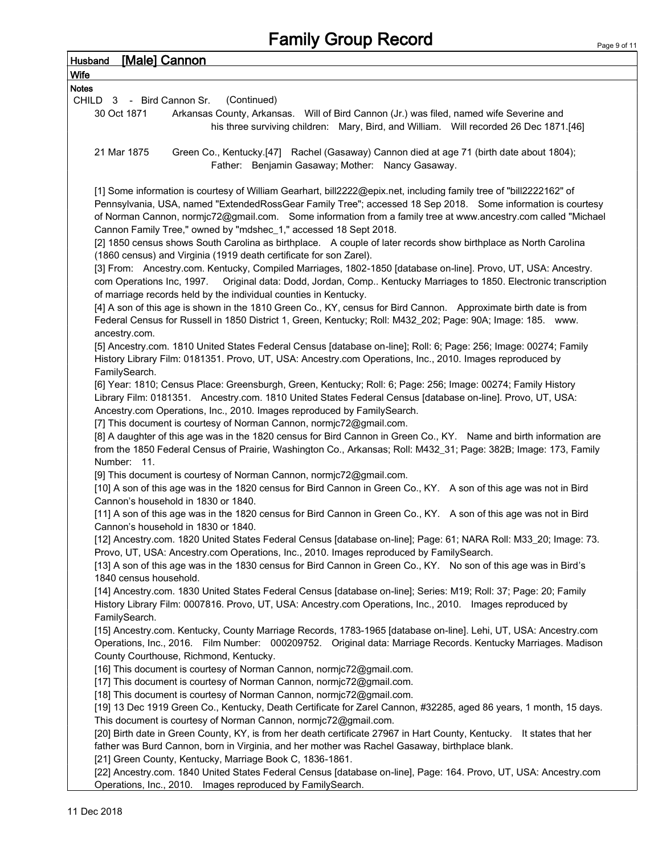| <b>[Male] Cannon</b><br><b>Husband</b>                                                                                                                                                                                                                                                                                                                                                                                 |
|------------------------------------------------------------------------------------------------------------------------------------------------------------------------------------------------------------------------------------------------------------------------------------------------------------------------------------------------------------------------------------------------------------------------|
| <b>Wife</b>                                                                                                                                                                                                                                                                                                                                                                                                            |
| <b>Notes</b>                                                                                                                                                                                                                                                                                                                                                                                                           |
| (Continued)<br>CHILD 3 - Bird Cannon Sr.                                                                                                                                                                                                                                                                                                                                                                               |
| 30 Oct 1871<br>Arkansas County, Arkansas.  Will of Bird Cannon (Jr.) was filed, named wife Severine and<br>his three surviving children: Mary, Bird, and William. Will recorded 26 Dec 1871.[46]                                                                                                                                                                                                                       |
| Green Co., Kentucky.[47] Rachel (Gasaway) Cannon died at age 71 (birth date about 1804);<br>21 Mar 1875<br>Father: Benjamin Gasaway; Mother: Nancy Gasaway.                                                                                                                                                                                                                                                            |
| [1] Some information is courtesy of William Gearhart, bill2222@epix.net, including family tree of "bill2222162" of<br>Pennsylvania, USA, named "ExtendedRossGear Family Tree"; accessed 18 Sep 2018. Some information is courtesy<br>of Norman Cannon, normjc72@gmail.com. Some information from a family tree at www.ancestry.com called "Michael<br>Cannon Family Tree," owned by "mdshec_1," accessed 18 Sept 2018. |
| [2] 1850 census shows South Carolina as birthplace. A couple of later records show birthplace as North Carolina<br>(1860 census) and Virginia (1919 death certificate for son Zarel).                                                                                                                                                                                                                                  |
| [3] From: Ancestry.com. Kentucky, Compiled Marriages, 1802-1850 [database on-line]. Provo, UT, USA: Ancestry.<br>Original data: Dodd, Jordan, Comp Kentucky Marriages to 1850. Electronic transcription<br>com Operations Inc, 1997.<br>of marriage records held by the individual counties in Kentucky.                                                                                                               |
| [4] A son of this age is shown in the 1810 Green Co., KY, census for Bird Cannon. Approximate birth date is from<br>Federal Census for Russell in 1850 District 1, Green, Kentucky; Roll: M432_202; Page: 90A; Image: 185. www.<br>ancestry.com.                                                                                                                                                                       |
| [5] Ancestry.com. 1810 United States Federal Census [database on-line]; Roll: 6; Page: 256; Image: 00274; Family<br>History Library Film: 0181351. Provo, UT, USA: Ancestry.com Operations, Inc., 2010. Images reproduced by<br>FamilySearch.                                                                                                                                                                          |
| [6] Year: 1810; Census Place: Greensburgh, Green, Kentucky; Roll: 6; Page: 256; Image: 00274; Family History<br>Library Film: 0181351. Ancestry.com. 1810 United States Federal Census [database on-line]. Provo, UT, USA:<br>Ancestry.com Operations, Inc., 2010. Images reproduced by FamilySearch.<br>[7] This document is courtesy of Norman Cannon, normjc72@gmail.com.                                           |
| [8] A daughter of this age was in the 1820 census for Bird Cannon in Green Co., KY. Name and birth information are<br>from the 1850 Federal Census of Prairie, Washington Co., Arkansas; Roll: M432_31; Page: 382B; Image: 173, Family<br>Number: 11.                                                                                                                                                                  |
| [9] This document is courtesy of Norman Cannon, normjc72@gmail.com.<br>[10] A son of this age was in the 1820 census for Bird Cannon in Green Co., KY. A son of this age was not in Bird<br>Cannon's household in 1830 or 1840.                                                                                                                                                                                        |
| [11] A son of this age was in the 1820 census for Bird Cannon in Green Co., KY. A son of this age was not in Bird<br>Cannon's household in 1830 or 1840.                                                                                                                                                                                                                                                               |
| [12] Ancestry.com. 1820 United States Federal Census [database on-line]; Page: 61; NARA Roll: M33_20; Image: 73.<br>Provo, UT, USA: Ancestry.com Operations, Inc., 2010. Images reproduced by FamilySearch.                                                                                                                                                                                                            |
| [13] A son of this age was in the 1830 census for Bird Cannon in Green Co., KY. No son of this age was in Bird's<br>1840 census household.                                                                                                                                                                                                                                                                             |
| [14] Ancestry.com. 1830 United States Federal Census [database on-line]; Series: M19; Roll: 37; Page: 20; Family<br>History Library Film: 0007816. Provo, UT, USA: Ancestry.com Operations, Inc., 2010. Images reproduced by<br>FamilySearch.                                                                                                                                                                          |
| [15] Ancestry.com. Kentucky, County Marriage Records, 1783-1965 [database on-line]. Lehi, UT, USA: Ancestry.com<br>Operations, Inc., 2016. Film Number: 000209752. Original data: Marriage Records. Kentucky Marriages. Madison                                                                                                                                                                                        |
| County Courthouse, Richmond, Kentucky.<br>[16] This document is courtesy of Norman Cannon, normjc72@gmail.com.<br>[17] This document is courtesy of Norman Cannon, normjc72@gmail.com.                                                                                                                                                                                                                                 |
| [18] This document is courtesy of Norman Cannon, normjc72@gmail.com.<br>[19] 13 Dec 1919 Green Co., Kentucky, Death Certificate for Zarel Cannon, #32285, aged 86 years, 1 month, 15 days.                                                                                                                                                                                                                             |
| This document is courtesy of Norman Cannon, normjc72@gmail.com.<br>[20] Birth date in Green County, KY, is from her death certificate 27967 in Hart County, Kentucky. It states that her<br>father was Burd Cannon, born in Virginia, and her mother was Rachel Gasaway, birthplace blank.                                                                                                                             |
| [21] Green County, Kentucky, Marriage Book C, 1836-1861.<br>[22] Ancestry.com. 1840 United States Federal Census [database on-line], Page: 164. Provo, UT, USA: Ancestry.com<br>Operations, Inc., 2010. Images reproduced by FamilySearch.                                                                                                                                                                             |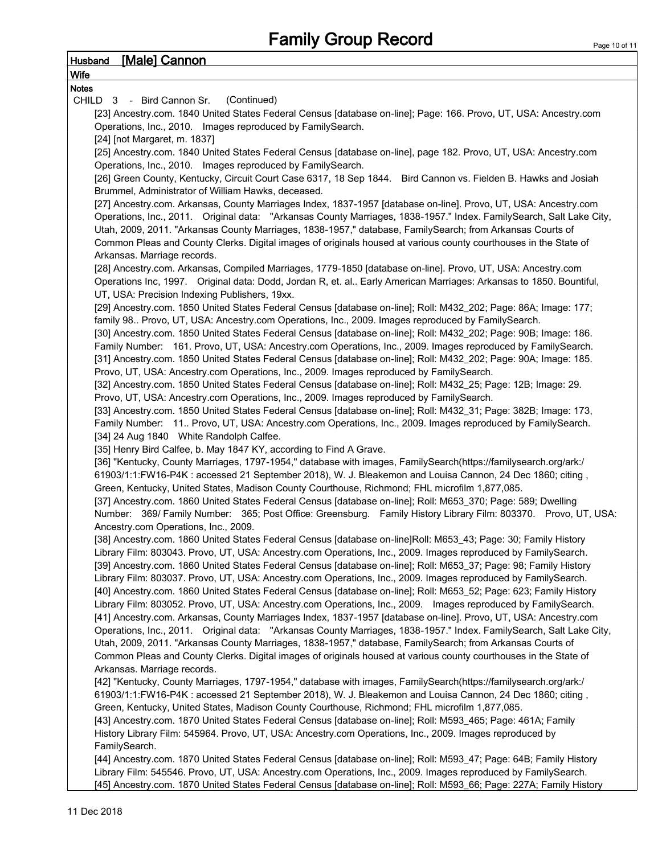## Husband [Male] Cannon

| <u>Husband</u><br><u> Imalej Cannon</u>                                                                             |
|---------------------------------------------------------------------------------------------------------------------|
| <b>Wife</b>                                                                                                         |
| <b>Notes</b>                                                                                                        |
| (Continued)<br>CHILD 3 - Bird Cannon Sr.                                                                            |
| [23] Ancestry.com. 1840 United States Federal Census [database on-line]; Page: 166. Provo, UT, USA: Ancestry.com    |
| Operations, Inc., 2010. Images reproduced by FamilySearch.                                                          |
| [24] [not Margaret, m. 1837]                                                                                        |
| [25] Ancestry.com. 1840 United States Federal Census [database on-line], page 182. Provo, UT, USA: Ancestry.com     |
| Operations, Inc., 2010. Images reproduced by FamilySearch.                                                          |
| [26] Green County, Kentucky, Circuit Court Case 6317, 18 Sep 1844. Bird Cannon vs. Fielden B. Hawks and Josiah      |
| Brummel, Administrator of William Hawks, deceased.                                                                  |
| [27] Ancestry.com. Arkansas, County Marriages Index, 1837-1957 [database on-line]. Provo, UT, USA: Ancestry.com     |
| Operations, Inc., 2011. Original data: "Arkansas County Marriages, 1838-1957." Index. FamilySearch, Salt Lake City, |
| Utah, 2009, 2011. "Arkansas County Marriages, 1838-1957," database, FamilySearch; from Arkansas Courts of           |
| Common Pleas and County Clerks. Digital images of originals housed at various county courthouses in the State of    |
|                                                                                                                     |
| Arkansas. Marriage records.                                                                                         |
| [28] Ancestry.com. Arkansas, Compiled Marriages, 1779-1850 [database on-line]. Provo, UT, USA: Ancestry.com         |
| Operations Inc, 1997. Original data: Dodd, Jordan R, et. al Early American Marriages: Arkansas to 1850. Bountiful,  |
| UT, USA: Precision Indexing Publishers, 19xx.                                                                       |
| [29] Ancestry.com. 1850 United States Federal Census [database on-line]; Roll: M432_202; Page: 86A; Image: 177;     |
| family 98 Provo, UT, USA: Ancestry.com Operations, Inc., 2009. Images reproduced by FamilySearch.                   |
| [30] Ancestry.com. 1850 United States Federal Census [database on-line]; Roll: M432_202; Page: 90B; Image: 186.     |
| Family Number: 161. Provo, UT, USA: Ancestry.com Operations, Inc., 2009. Images reproduced by FamilySearch.         |
| [31] Ancestry.com. 1850 United States Federal Census [database on-line]; Roll: M432_202; Page: 90A; Image: 185.     |
| Provo, UT, USA: Ancestry.com Operations, Inc., 2009. Images reproduced by FamilySearch.                             |
| [32] Ancestry.com. 1850 United States Federal Census [database on-line]; Roll: M432_25; Page: 12B; Image: 29.       |
| Provo, UT, USA: Ancestry.com Operations, Inc., 2009. Images reproduced by FamilySearch.                             |
| [33] Ancestry.com. 1850 United States Federal Census [database on-line]; Roll: M432_31; Page: 382B; Image: 173,     |
| Family Number: 11 Provo, UT, USA: Ancestry.com Operations, Inc., 2009. Images reproduced by FamilySearch.           |
| [34] 24 Aug 1840 White Randolph Calfee.                                                                             |
| [35] Henry Bird Calfee, b. May 1847 KY, according to Find A Grave.                                                  |
| [36] "Kentucky, County Marriages, 1797-1954," database with images, FamilySearch(https://familysearch.org/ark:/     |
| 61903/1:1:FW16-P4K : accessed 21 September 2018), W. J. Bleakemon and Louisa Cannon, 24 Dec 1860; citing,           |
| Green, Kentucky, United States, Madison County Courthouse, Richmond; FHL microfilm 1,877,085.                       |
| [37] Ancestry.com. 1860 United States Federal Census [database on-line]; Roll: M653_370; Page: 589; Dwelling        |
| Number: 369/ Family Number: 365; Post Office: Greensburg. Family History Library Film: 803370. Provo, UT, USA:      |
| Ancestry.com Operations, Inc., 2009.                                                                                |
| [38] Ancestry.com. 1860 United States Federal Census [database on-line]Roll: M653_43; Page: 30; Family History      |
| Library Film: 803043. Provo, UT, USA: Ancestry.com Operations, Inc., 2009. Images reproduced by FamilySearch.       |
| [39] Ancestry.com. 1860 United States Federal Census [database on-line]; Roll: M653_37; Page: 98; Family History    |
| Library Film: 803037. Provo, UT, USA: Ancestry.com Operations, Inc., 2009. Images reproduced by FamilySearch.       |
| [40] Ancestry.com. 1860 United States Federal Census [database on-line]; Roll: M653_52; Page: 623; Family History   |
| Library Film: 803052. Provo, UT, USA: Ancestry.com Operations, Inc., 2009. Images reproduced by FamilySearch.       |
| [41] Ancestry.com. Arkansas, County Marriages Index, 1837-1957 [database on-line]. Provo, UT, USA: Ancestry.com     |
|                                                                                                                     |
| Operations, Inc., 2011. Original data: "Arkansas County Marriages, 1838-1957." Index. FamilySearch, Salt Lake City, |
| Utah, 2009, 2011. "Arkansas County Marriages, 1838-1957," database, FamilySearch; from Arkansas Courts of           |
| Common Pleas and County Clerks. Digital images of originals housed at various county courthouses in the State of    |
| Arkansas. Marriage records.                                                                                         |
| [42] "Kentucky, County Marriages, 1797-1954," database with images, FamilySearch(https://familysearch.org/ark:/     |
| 61903/1:1:FW16-P4K : accessed 21 September 2018), W. J. Bleakemon and Louisa Cannon, 24 Dec 1860; citing,           |
| Green, Kentucky, United States, Madison County Courthouse, Richmond; FHL microfilm 1,877,085.                       |
| [43] Ancestry.com. 1870 United States Federal Census [database on-line]; Roll: M593_465; Page: 461A; Family         |
| History Library Film: 545964. Provo, UT, USA: Ancestry.com Operations, Inc., 2009. Images reproduced by             |
| FamilySearch.                                                                                                       |
| [44] Ancestry.com. 1870 United States Federal Census [database on-line]; Roll: M593_47; Page: 64B; Family History   |
| Library Film: 545546. Provo, UT, USA: Ancestry.com Operations, Inc., 2009. Images reproduced by FamilySearch.       |

[45] Ancestry.com. 1870 United States Federal Census [database on-line]; Roll: M593\_66; Page: 227A; Family History